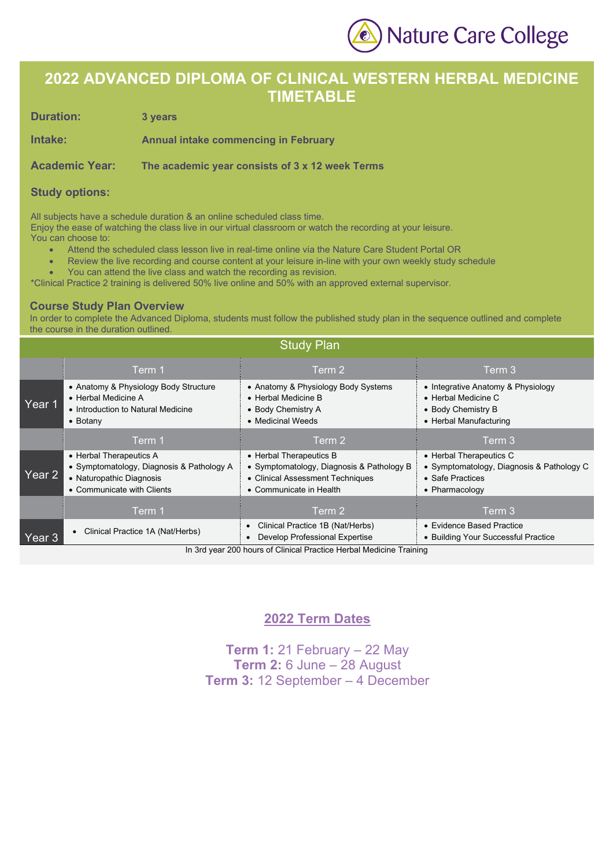Nature Care College

## **2022 ADVANCED DIPLOMA OF CLINICAL WESTERN HERBAL MEDICINE TIMETABLE**

**Duration: 3 years** 

**Intake: Annual intake commencing in February**

**Academic Year: The academic year consists of 3 x 12 week Terms**

#### **Study options:**

All subjects have a schedule duration & an online scheduled class time.

Enjoy the ease of watching the class live in our virtual classroom or watch the recording at your leisure.

- You can choose to:
	- Attend the scheduled class lesson live in real-time online via the Nature Care Student Portal OR
	- Review the live recording and course content at your leisure in-line with your own weekly study schedule
	- You can attend the live class and watch the recording as revision.
- \*Clinical Practice 2 training is delivered 50% live online and 50% with an approved external supervisor.

#### **Course Study Plan Overview**

In order to complete the Advanced Diploma, students must follow the published study plan in the sequence outlined and complete the course in the duration outlined.

| <b>Study Plan</b> |                                                                                                                                |                                                                                                                                     |                                                                                                            |  |  |  |
|-------------------|--------------------------------------------------------------------------------------------------------------------------------|-------------------------------------------------------------------------------------------------------------------------------------|------------------------------------------------------------------------------------------------------------|--|--|--|
|                   | Term 1                                                                                                                         | Term 2                                                                                                                              | Term 3                                                                                                     |  |  |  |
| Year 1            | • Anatomy & Physiology Body Structure<br>• Herbal Medicine A<br>• Introduction to Natural Medicine<br>$\bullet$ Botany         | • Anatomy & Physiology Body Systems<br>• Herbal Medicine B<br>• Body Chemistry A<br>• Medicinal Weeds                               | • Integrative Anatomy & Physiology<br>• Herbal Medicine C<br>• Body Chemistry B<br>• Herbal Manufacturing  |  |  |  |
|                   | Term 1                                                                                                                         | Term 2                                                                                                                              | Term 3                                                                                                     |  |  |  |
| Year 2            | • Herbal Therapeutics A<br>• Symptomatology, Diagnosis & Pathology A<br>• Naturopathic Diagnosis<br>• Communicate with Clients | • Herbal Therapeutics B<br>• Symptomatology, Diagnosis & Pathology B<br>• Clinical Assessment Techniques<br>• Communicate in Health | • Herbal Therapeutics C<br>• Symptomatology, Diagnosis & Pathology C<br>• Safe Practices<br>• Pharmacology |  |  |  |
|                   | Term 1                                                                                                                         | Term 2                                                                                                                              | Term 3                                                                                                     |  |  |  |
| Year 3            | Clinical Practice 1A (Nat/Herbs)                                                                                               | Clinical Practice 1B (Nat/Herbs)<br>Develop Professional Expertise                                                                  | • Evidence Based Practice<br>• Building Your Successful Practice                                           |  |  |  |

In 3rd year 200 hours of Clinical Practice Herbal Medicine Training

### **2022 Term Dates**

**Term 1:** 21 February – 22 May **Term 2:** 6 June – 28 August **Term 3:** 12 September – 4 December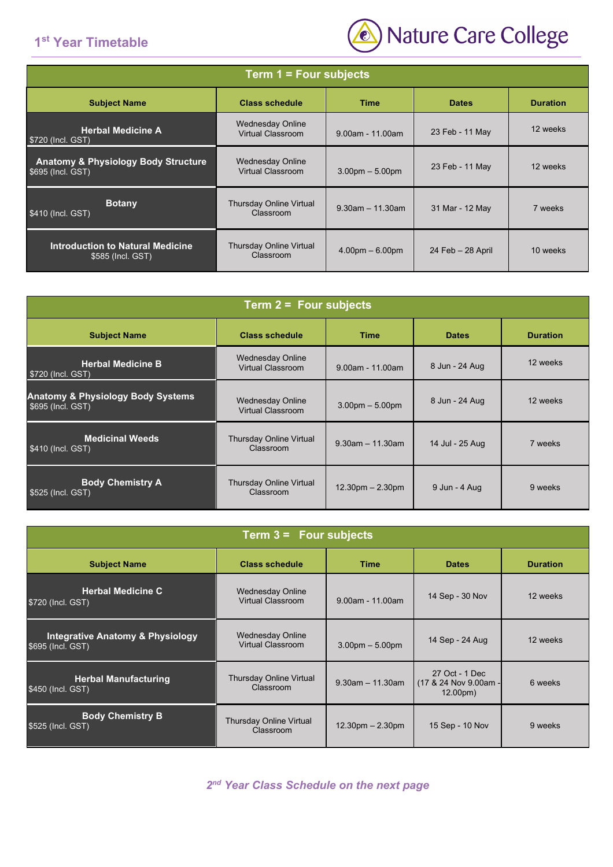## **1st Year Timetable**



| Term 1 = Four subjects                                                                  |                                                     |                       |                      |          |  |  |
|-----------------------------------------------------------------------------------------|-----------------------------------------------------|-----------------------|----------------------|----------|--|--|
| <b>Class schedule</b><br><b>Duration</b><br><b>Subject Name</b><br>Time<br><b>Dates</b> |                                                     |                       |                      |          |  |  |
| <b>Herbal Medicine A</b><br>\$720 (Incl. GST)                                           | <b>Wednesday Online</b><br><b>Virtual Classroom</b> | $9.00$ am - 11.00am   | 23 Feb - 11 May      | 12 weeks |  |  |
| <b>Anatomy &amp; Physiology Body Structure</b><br>\$695 (Incl. GST)                     | <b>Wednesday Online</b><br>Virtual Classroom        | $3.00pm - 5.00pm$     | 23 Feb - 11 May      | 12 weeks |  |  |
| <b>Botany</b><br>\$410 (Incl. GST)                                                      | <b>Thursday Online Virtual</b><br>Classroom         | $9.30$ am $-11.30$ am | 31 Mar - 12 May      | 7 weeks  |  |  |
| <b>Introduction to Natural Medicine</b><br>\$585 (Incl. GST)                            | Thursday Online Virtual<br>Classroom                | $4.00pm - 6.00pm$     | $24$ Feb $-28$ April | 10 weeks |  |  |

| Term $2 =$ Four subjects                                          |                                                     |                       |                 |                 |  |
|-------------------------------------------------------------------|-----------------------------------------------------|-----------------------|-----------------|-----------------|--|
| <b>Subject Name</b>                                               | <b>Class schedule</b>                               | <b>Time</b>           | <b>Dates</b>    | <b>Duration</b> |  |
| <b>Herbal Medicine B</b><br>\$720 (Incl. GST)                     | <b>Wednesday Online</b><br><b>Virtual Classroom</b> | $9.00$ am - 11.00am   | 8 Jun - 24 Aug  | 12 weeks        |  |
| <b>Anatomy &amp; Physiology Body Systems</b><br>\$695 (Incl. GST) | <b>Wednesday Online</b><br>Virtual Classroom        | $3.00pm - 5.00pm$     | 8 Jun - 24 Aug  | 12 weeks        |  |
| <b>Medicinal Weeds</b><br>\$410 (Incl. GST)                       | <b>Thursday Online Virtual</b><br>Classroom         | $9.30$ am $-11.30$ am | 14 Jul - 25 Aug | 7 weeks         |  |
| <b>Body Chemistry A</b><br>\$525 (Incl. GST)                      | <b>Thursday Online Virtual</b><br>Classroom         | $12.30pm - 2.30pm$    | 9 Jun - 4 Aug   | 9 weeks         |  |

| Term $3 =$ Four subjects                                                                       |                                                     |                       |                                                                |          |  |  |
|------------------------------------------------------------------------------------------------|-----------------------------------------------------|-----------------------|----------------------------------------------------------------|----------|--|--|
| <b>Subject Name</b><br><b>Class schedule</b><br><b>Time</b><br><b>Dates</b><br><b>Duration</b> |                                                     |                       |                                                                |          |  |  |
| <b>Herbal Medicine C</b><br>\$720 (Incl. GST)                                                  | <b>Wednesday Online</b><br>Virtual Classroom        | $9.00$ am - 11.00am   | 14 Sep - 30 Nov                                                | 12 weeks |  |  |
| <b>Integrative Anatomy &amp; Physiology</b><br>\$695 (Incl. GST)                               | <b>Wednesday Online</b><br><b>Virtual Classroom</b> | $3.00pm - 5.00pm$     | 14 Sep - 24 Aug                                                | 12 weeks |  |  |
| <b>Herbal Manufacturing</b><br>\$450 (Incl. GST)                                               | <b>Thursday Online Virtual</b><br>Classroom         | $9.30$ am $-11.30$ am | 27 Oct - 1 Dec<br>(17 & 24 Nov 9.00am -<br>12.00 <sub>pm</sub> | 6 weeks  |  |  |
| <b>Body Chemistry B</b><br>\$525 (Incl. GST)                                                   | Thursday Online Virtual<br>Classroom                | $12.30pm - 2.30pm$    | 15 Sep - 10 Nov                                                | 9 weeks  |  |  |

*2nd Year Class Schedule on the next page*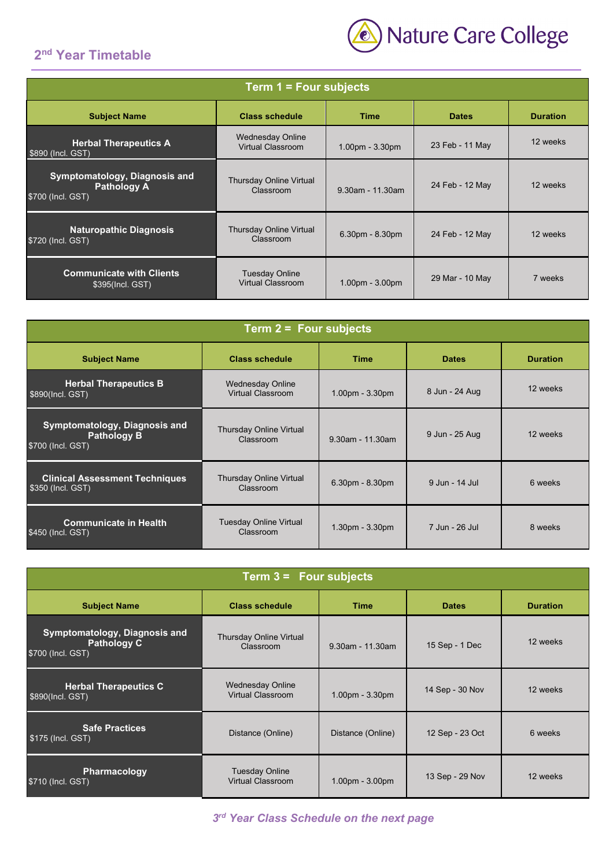# **2nd Year Timetable**



| Term $1 = Four$ subjects                                                 |                                                   |                     |                 |                 |  |
|--------------------------------------------------------------------------|---------------------------------------------------|---------------------|-----------------|-----------------|--|
| <b>Subject Name</b>                                                      | <b>Class schedule</b>                             | <b>Time</b>         | <b>Dates</b>    | <b>Duration</b> |  |
| <b>Herbal Therapeutics A</b><br>\$890 (Incl. GST)                        | <b>Wednesday Online</b><br>Virtual Classroom      | 1.00pm - 3.30pm     | 23 Feb - 11 May | 12 weeks        |  |
| Symptomatology, Diagnosis and<br><b>Pathology A</b><br>\$700 (Incl. GST) | <b>Thursday Online Virtual</b><br>Classroom       | $9.30$ am - 11.30am | 24 Feb - 12 May | 12 weeks        |  |
| <b>Naturopathic Diagnosis</b><br>\$720 (Incl. GST)                       | <b>Thursday Online Virtual</b><br>Classroom       | $6.30pm - 8.30pm$   | 24 Feb - 12 May | 12 weeks        |  |
| <b>Communicate with Clients</b><br>\$395(Incl. GST)                      | <b>Tuesday Online</b><br><b>Virtual Classroom</b> | $1.00pm - 3.00pm$   | 29 Mar - 10 May | 7 weeks         |  |

| Term $2 =$ Four subjects                                                        |                                              |                  |                |                 |  |
|---------------------------------------------------------------------------------|----------------------------------------------|------------------|----------------|-----------------|--|
| <b>Subject Name</b>                                                             | <b>Class schedule</b>                        | <b>Time</b>      | <b>Dates</b>   | <b>Duration</b> |  |
| <b>Herbal Therapeutics B</b><br>\$890(Incl. GST)                                | <b>Wednesday Online</b><br>Virtual Classroom | 1.00pm - 3.30pm  | 8 Jun - 24 Aug | 12 weeks        |  |
| <b>Symptomatology, Diagnosis and</b><br><b>Pathology B</b><br>\$700 (Incl. GST) | <b>Thursday Online Virtual</b><br>Classroom  | 9.30am - 11.30am | 9 Jun - 25 Aug | 12 weeks        |  |
| <b>Clinical Assessment Techniques</b><br>\$350 (Incl. GST)                      | <b>Thursday Online Virtual</b><br>Classroom  | 6.30pm - 8.30pm  | 9 Jun - 14 Jul | 6 weeks         |  |
| <b>Communicate in Health</b><br>\$450 (Incl. GST)                               | <b>Tuesday Online Virtual</b><br>Classroom   | 1.30pm - 3.30pm  | 7 Jun - 26 Jul | 8 weeks         |  |

| Term $3 =$ Four subjects                                                                       |                                                     |                   |                 |          |  |
|------------------------------------------------------------------------------------------------|-----------------------------------------------------|-------------------|-----------------|----------|--|
| <b>Subject Name</b><br><b>Class schedule</b><br><b>Time</b><br><b>Dates</b><br><b>Duration</b> |                                                     |                   |                 |          |  |
| Symptomatology, Diagnosis and<br><b>Pathology C</b><br>\$700 (Incl. GST)                       | <b>Thursday Online Virtual</b><br>Classroom         | 9.30am - 11.30am  | 15 Sep - 1 Dec  | 12 weeks |  |
| <b>Herbal Therapeutics C</b><br>\$890(Incl. GST)                                               | <b>Wednesday Online</b><br><b>Virtual Classroom</b> | $1.00pm - 3.30pm$ | 14 Sep - 30 Nov | 12 weeks |  |
| <b>Safe Practices</b><br>\$175 (Incl. GST)                                                     | Distance (Online)                                   | Distance (Online) | 12 Sep - 23 Oct | 6 weeks  |  |
| Pharmacology<br>\$710 (Incl. GST)                                                              | <b>Tuesday Online</b><br><b>Virtual Classroom</b>   | $1.00pm - 3.00pm$ | 13 Sep - 29 Nov | 12 weeks |  |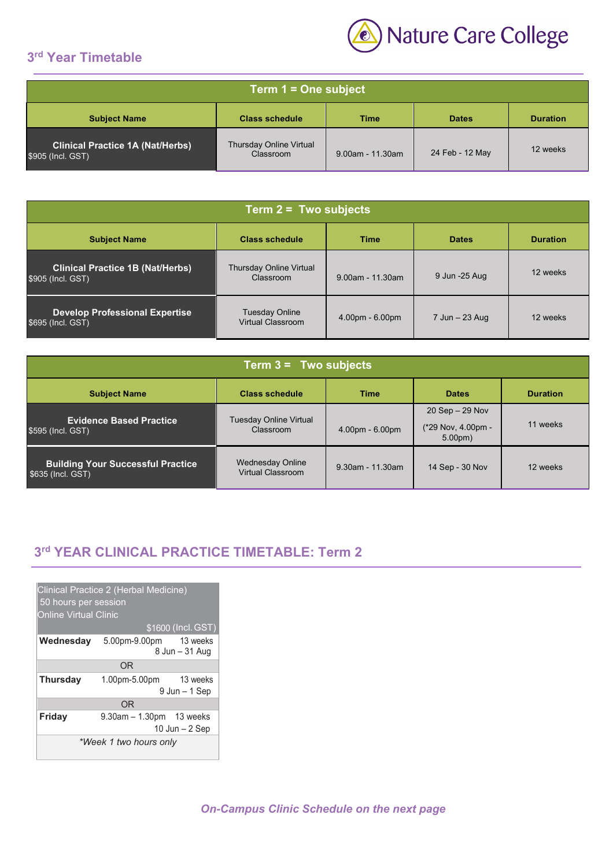## **3rd Year Timetable**



| Term 1 = One subject                                                                    |                                             |                     |                 |          |
|-----------------------------------------------------------------------------------------|---------------------------------------------|---------------------|-----------------|----------|
| <b>Class schedule</b><br><b>Subject Name</b><br><b>Duration</b><br>Time<br><b>Dates</b> |                                             |                     |                 |          |
| <b>Clinical Practice 1A (Nat/Herbs)</b><br>\$905 (Incl. GST)                            | <b>Thursday Online Virtual</b><br>Classroom | $9.00$ am - 11.30am | 24 Feb - 12 May | 12 weeks |

| Term $2 = Two$ subjects                                                                        |                                             |                     |                    |          |
|------------------------------------------------------------------------------------------------|---------------------------------------------|---------------------|--------------------|----------|
| <b>Subject Name</b><br><b>Class schedule</b><br><b>Time</b><br><b>Dates</b><br><b>Duration</b> |                                             |                     |                    |          |
| <b>Clinical Practice 1B (Nat/Herbs)</b><br>\$905 (Incl. GST)                                   | <b>Thursday Online Virtual</b><br>Classroom | $9.00$ am - 11.30am | 9 Jun -25 Aug      | 12 weeks |
| <b>Develop Professional Expertise</b><br>\$695 (Incl. GST)                                     | Tuesday Online<br><b>Virtual Classroom</b>  | $4.00pm - 6.00pm$   | $7$ Jun $-$ 23 Aug | 12 weeks |

| Term $3 = Two$ subjects                                       |                                                     |                     |                                                                 |                 |
|---------------------------------------------------------------|-----------------------------------------------------|---------------------|-----------------------------------------------------------------|-----------------|
| <b>Subject Name</b>                                           | <b>Class schedule</b>                               | Time                | <b>Dates</b>                                                    | <b>Duration</b> |
| <b>Evidence Based Practice</b><br>\$595 (Incl. GST)           | Tuesday Online Virtual<br>Classroom                 | $4.00pm - 6.00pm$   | $20$ Sep $- 29$ Nov<br>(*29 Nov, 4.00pm -<br>5.00 <sub>pm</sub> | 11 weeks        |
| <b>Building Your Successful Practice</b><br>\$635 (Incl. GST) | <b>Wednesday Online</b><br><b>Virtual Classroom</b> | $9.30$ am - 11.30am | 14 Sep - 30 Nov                                                 | 12 weeks        |

## **3rd YEAR CLINICAL PRACTICE TIMETABLE: Term 2**

| Clinical Practice 2 (Herbal Medicine)<br>50 hours per session<br><b>Online Virtual Clinic</b><br>\$1600 (Incl. GST) |                               |                              |  |  |
|---------------------------------------------------------------------------------------------------------------------|-------------------------------|------------------------------|--|--|
| Wednesday                                                                                                           | 5.00pm-9.00pm 13 weeks        | 8 Jun – 31 Aug               |  |  |
|                                                                                                                     | 0 <sub>R</sub>                |                              |  |  |
| <b>Thursday</b>                                                                                                     | 1.00pm-5.00pm                 | 13 weeks<br>$9$ Jun $-1$ Sep |  |  |
|                                                                                                                     | 0 <sub>R</sub>                |                              |  |  |
| Friday                                                                                                              | $9.30$ am $-1.30$ pm 13 weeks | $10$ Jun $-2$ Sep            |  |  |
| *Week 1 two hours only                                                                                              |                               |                              |  |  |